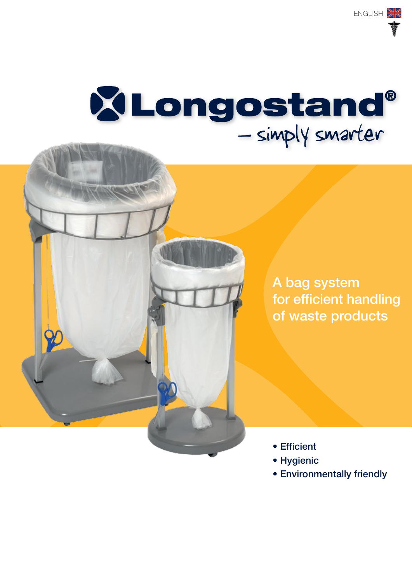# XLongostand®<br>- simply smarter

A bag system for efficient handling of waste products

- Efficient
- Hygienic
- Environmentally friendly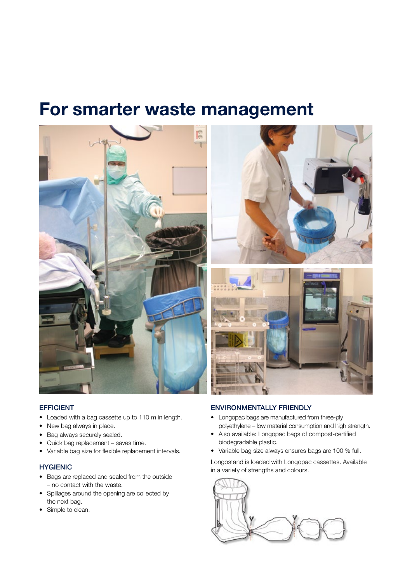## For smarter waste management





#### EFFICIENT

- Loaded with a bag cassette up to 110 m in length.
- New bag always in place.
- Bag always securely sealed.
- • Quick bag replacement saves time.
- • Variable bag size for flexible replacement intervals.

#### **HYGIENIC**

- • Bags are replaced and sealed from the outside – no contact with the waste.
- Spillages around the opening are collected by the next bag.
- Simple to clean.

#### ENVIRONMENTALLY FRIENDLY

- • Longopac bags are manufactured from three-ply polyethylene – low material consumption and high strength.
- • Also available: Longopac bags of compost-certified biodegradable plastic.
- • Variable bag size always ensures bags are 100 % full.

Longostand is loaded with Longopac cassettes. Available in a variety of strengths and colours.

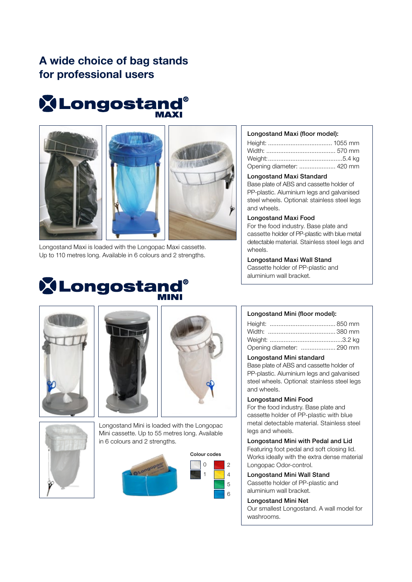### A wide choice of bag stands for professional users

# **XLongostand®**







Longostand Maxi is loaded with the Longopac Maxi cassette. Up to 110 metres long. Available in 6 colours and 2 strengths.

## **X** Longostand®

#### Longostand Maxi (floor model):

| Opening diameter:  420 mm |  |
|---------------------------|--|

#### Longostand Maxi Standard

Base plate of ABS and cassette holder of PP-plastic. Aluminium legs and galvanised steel wheels. Optional: stainless steel legs and wheels.

#### Longostand Maxi Food

For the food industry. Base plate and cassette holder of PP-plastic with blue metal detectable material. Stainless steel legs and wheels.

Longostand Maxi Wall Stand Cassette holder of PP-plastic and

aluminium wall bracket.







Longostand Mini is loaded with the Longopac Mini cassette. Up to 55 metres long. Available in 6 colours and 2 strengths.





#### Longostand Mini (floor model):

| Opening diameter:  290 mm |
|---------------------------|

#### Longostand Mini standard

Base plate of ABS and cassette holder of PP-plastic. Aluminium legs and galvanised steel wheels. Optional: stainless steel legs and wheels.

#### Longostand Mini Food

For the food industry. Base plate and cassette holder of PP-plastic with blue metal detectable material. Stainless steel legs and wheels.

#### Longostand Mini with Pedal and Lid

Featuring foot pedal and soft closing lid. Works ideally with the extra dense material Longopac Odor-control.

Longostand Mini Wall Stand Cassette holder of PP-plastic and aluminium wall bracket.

#### Longostand Mini Net

Our smallest Longostand. A wall model for washrooms.